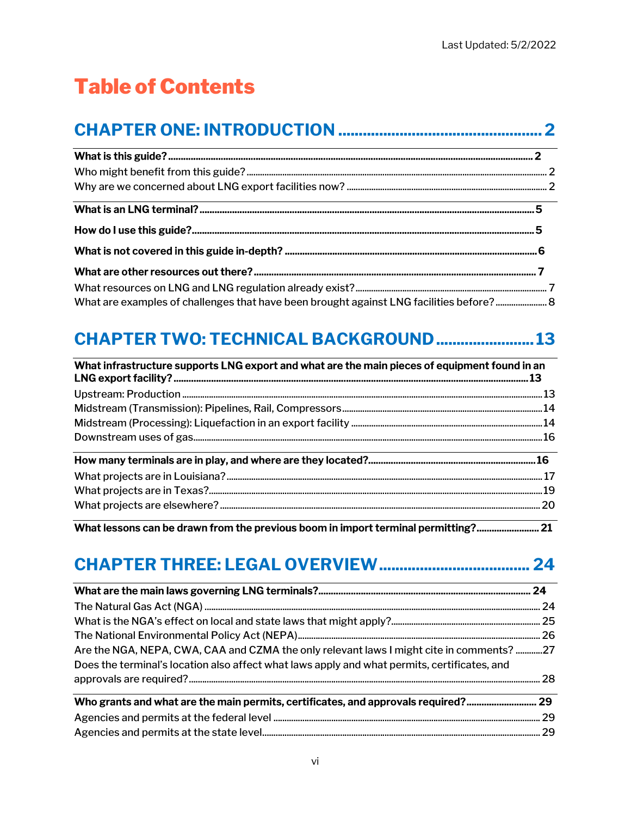# **Table of Contents**

## 

| What are examples of challenges that have been brought against LNG facilities before? 8 |  |
|-----------------------------------------------------------------------------------------|--|

#### **CHAPTER TWO: TECHNICAL BACKGROUND ....................... 13**

| What infrastructure supports LNG export and what are the main pieces of equipment found in an |        |
|-----------------------------------------------------------------------------------------------|--------|
|                                                                                               |        |
|                                                                                               |        |
|                                                                                               |        |
|                                                                                               |        |
|                                                                                               |        |
|                                                                                               |        |
|                                                                                               |        |
|                                                                                               |        |
| What he came and he doesne form the monitore he can be been of homested a condition?          | $\sim$ |

What lessons can be drawn from the previous boom in import terminal permitting?......................... 21

## 

| Are the NGA, NEPA, CWA, CAA and CZMA the only relevant laws I might cite in comments? 27     |  |
|----------------------------------------------------------------------------------------------|--|
| Does the terminal's location also affect what laws apply and what permits, certificates, and |  |
|                                                                                              |  |
| Who grants and what are the main permits, certificates, and approvals required? 29           |  |
|                                                                                              |  |
|                                                                                              |  |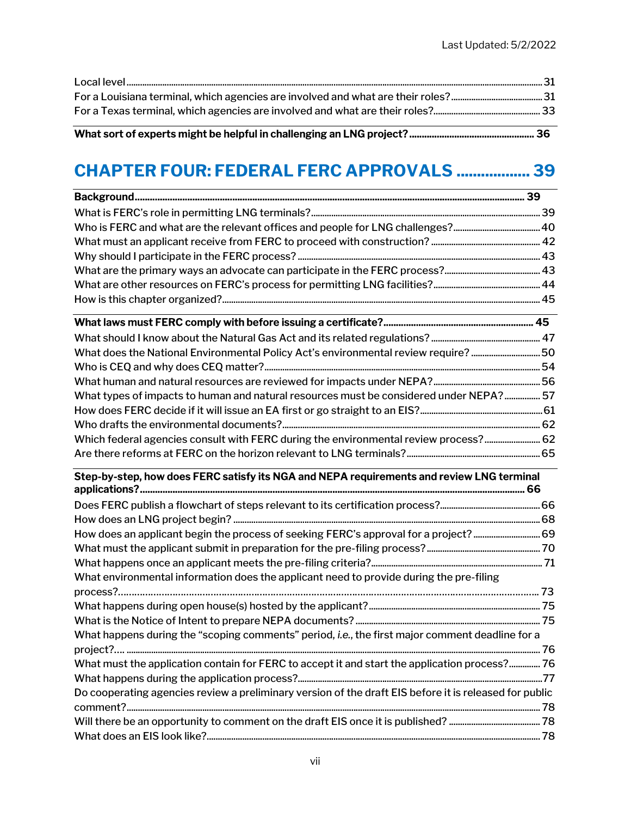#### What sort of experts might be helpful in challenging an LNG project? .................................................. 36

## CHAPTER FOUR: FEDERAL FERC APPROVALS .................. 39

| What does the National Environmental Policy Act's environmental review require? 50     |  |
|----------------------------------------------------------------------------------------|--|
|                                                                                        |  |
|                                                                                        |  |
| What types of impacts to human and natural resources must be considered under NEPA? 57 |  |
|                                                                                        |  |
|                                                                                        |  |
| Which federal agencies consult with FERC during the environmental review process? 62   |  |

#### Step-by-step, how does FERC satisfy its NGA and NEPA requirements and review LNG terminal applications? .......................................................................................................................................................... 66

Are there reforms at FERC on the horizon relevant to LNG terminals? ............................................................ 65

| What environmental information does the applicant need to provide during the pre-filing                |  |
|--------------------------------------------------------------------------------------------------------|--|
|                                                                                                        |  |
|                                                                                                        |  |
|                                                                                                        |  |
| What happens during the "scoping comments" period, i.e., the first major comment deadline for a        |  |
|                                                                                                        |  |
|                                                                                                        |  |
|                                                                                                        |  |
| Do cooperating agencies review a preliminary version of the draft EIS before it is released for public |  |
|                                                                                                        |  |
|                                                                                                        |  |
|                                                                                                        |  |
|                                                                                                        |  |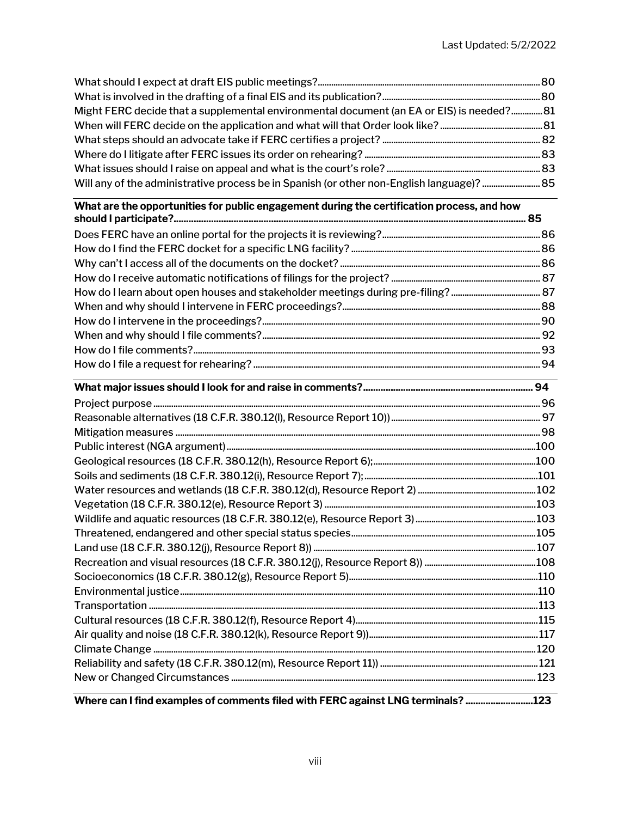| What are the opportunities for public engagement during the certification process, and how |  |
|--------------------------------------------------------------------------------------------|--|
|                                                                                            |  |
|                                                                                            |  |
|                                                                                            |  |
|                                                                                            |  |
|                                                                                            |  |
| Might FERC decide that a supplemental environmental document (an EA or EIS) is needed? 81  |  |
|                                                                                            |  |
|                                                                                            |  |

| $\mathbf{r}$ , $\mathbf{r}$ , $\mathbf{r}$ , $\mathbf{r}$ , $\mathbf{r}$ , $\mathbf{r}$ , $\mathbf{r}$ , $\mathbf{r}$ , $\mathbf{r}$ , $\mathbf{r}$ , $\mathbf{r}$ , $\mathbf{r}$ , $\mathbf{r}$ , $\mathbf{r}$ , $\mathbf{r}$ , $\mathbf{r}$ , $\mathbf{r}$ , $\mathbf{r}$ , $\mathbf{r}$ , $\mathbf{r}$ , |  |
|-------------------------------------------------------------------------------------------------------------------------------------------------------------------------------------------------------------------------------------------------------------------------------------------------------------|--|

Where can I find examples of comments filed with FERC against LNG terminals? ...........................123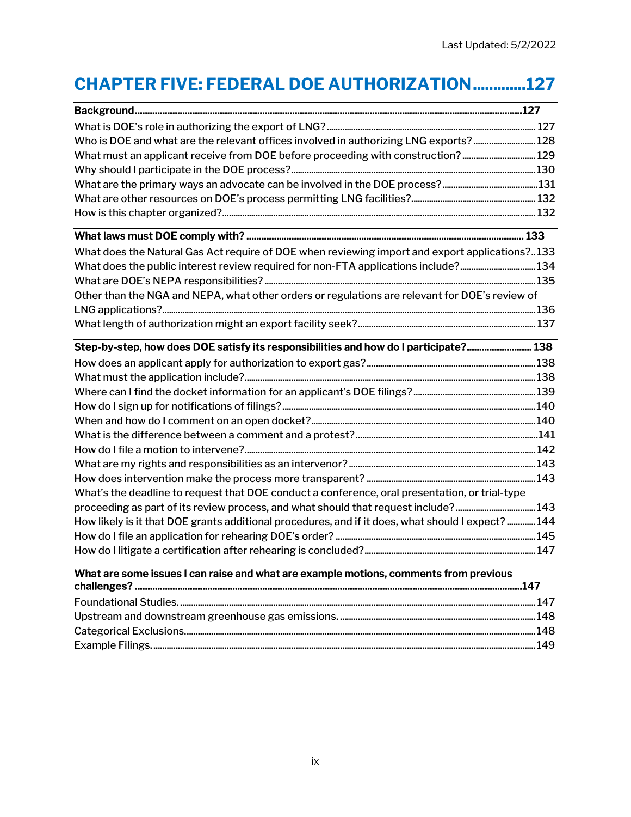## CHAPTER FIVE: FEDERAL DOE AUTHORIZATION ............. 127

| Who is DOE and what are the relevant offices involved in authorizing LNG exports?128                                  |  |
|-----------------------------------------------------------------------------------------------------------------------|--|
| What must an applicant receive from DOE before proceeding with construction?129                                       |  |
|                                                                                                                       |  |
|                                                                                                                       |  |
|                                                                                                                       |  |
|                                                                                                                       |  |
| <u> 1980 - Johann Stoff, deutscher Stoff, der Stoff, der Stoff, der Stoff, der Stoff, der Stoff, der Stoff, der S</u> |  |
| What does the Natural Gas Act require of DOE when reviewing import and export applications?133                        |  |
|                                                                                                                       |  |
|                                                                                                                       |  |
| Other than the NGA and NEPA, what other orders or regulations are relevant for DOE's review of                        |  |
|                                                                                                                       |  |
|                                                                                                                       |  |
|                                                                                                                       |  |
| Step-by-step, how does DOE satisfy its responsibilities and how do I participate? 138                                 |  |
|                                                                                                                       |  |
|                                                                                                                       |  |
|                                                                                                                       |  |
|                                                                                                                       |  |
|                                                                                                                       |  |
|                                                                                                                       |  |
|                                                                                                                       |  |
|                                                                                                                       |  |
|                                                                                                                       |  |
| What's the deadline to request that DOE conduct a conference, oral presentation, or trial-type                        |  |
| proceeding as part of its review process, and what should that request include?143                                    |  |
| How likely is it that DOE grants additional procedures, and if it does, what should I expect? 144                     |  |
|                                                                                                                       |  |
|                                                                                                                       |  |
| What are some issues I can raise and what are example motions, comments from previous                                 |  |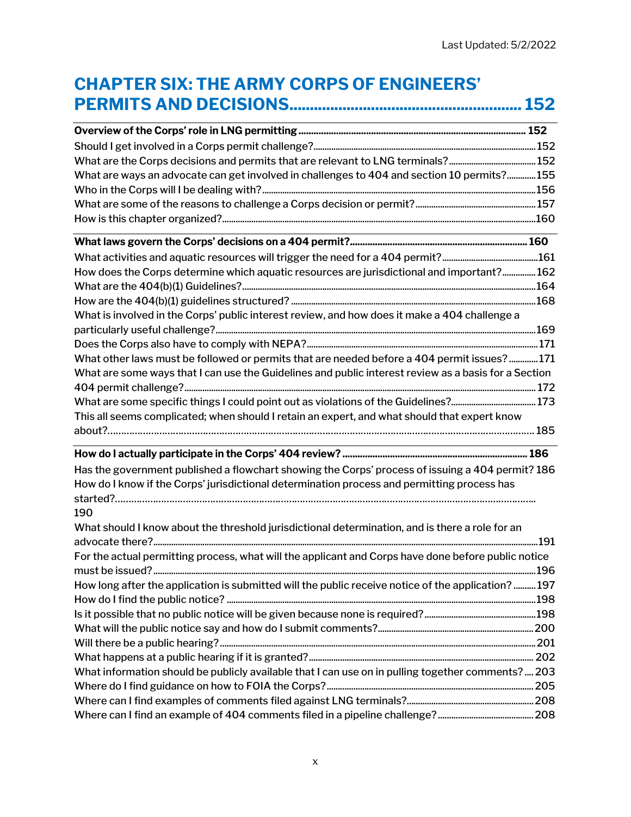### CHAPTER SIX: THE ARMY CORPS OF ENGINEERS' PERMITS AND DECISIONS ......................................................... 152

| What are ways an advocate can get involved in challenges to 404 and section 10 permits?155           |  |
|------------------------------------------------------------------------------------------------------|--|
|                                                                                                      |  |
|                                                                                                      |  |
|                                                                                                      |  |
|                                                                                                      |  |
|                                                                                                      |  |
| How does the Corps determine which aquatic resources are jurisdictional and important? 162           |  |
|                                                                                                      |  |
|                                                                                                      |  |
| What is involved in the Corps' public interest review, and how does it make a 404 challenge a        |  |
|                                                                                                      |  |
|                                                                                                      |  |
| What other laws must be followed or permits that are needed before a 404 permit issues? 171          |  |
| What are some ways that I can use the Guidelines and public interest review as a basis for a Section |  |
|                                                                                                      |  |
| What are some specific things I could point out as violations of the Guidelines?173                  |  |
| This all seems complicated; when should I retain an expert, and what should that expert know         |  |
|                                                                                                      |  |
|                                                                                                      |  |
| Has the government published a flowchart showing the Corps' process of issuing a 404 permit? 186     |  |
| How do I know if the Corps' jurisdictional determination process and permitting process has          |  |
|                                                                                                      |  |
| 190                                                                                                  |  |
| What should I know about the threshold jurisdictional determination, and is there a role for an      |  |
|                                                                                                      |  |
| For the actual permitting process, what will the applicant and Corps have done before public notice  |  |
|                                                                                                      |  |
| How long after the application is submitted will the public receive notice of the application?197    |  |
|                                                                                                      |  |
|                                                                                                      |  |
|                                                                                                      |  |
|                                                                                                      |  |
|                                                                                                      |  |
| What information should be publicly available that I can use on in pulling together comments? 203    |  |
|                                                                                                      |  |
|                                                                                                      |  |
|                                                                                                      |  |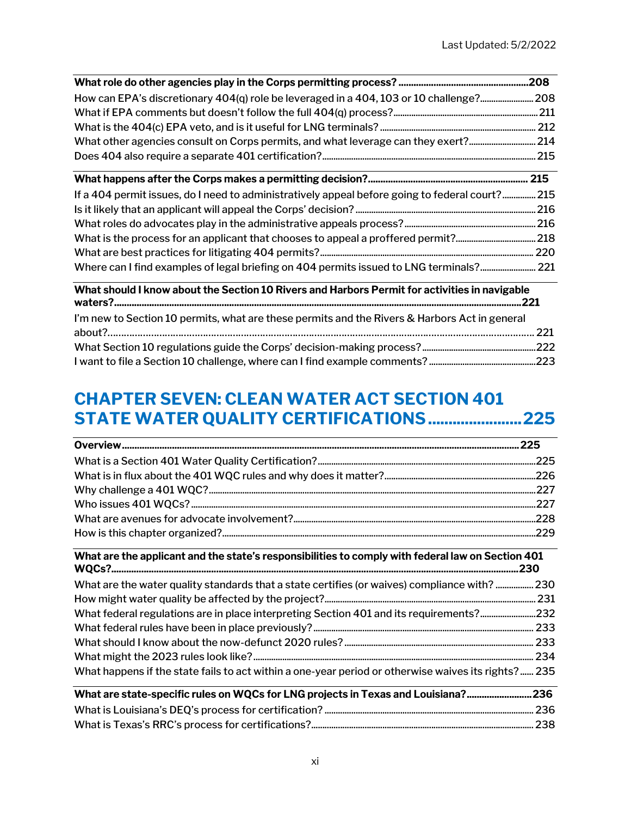| How can EPA's discretionary 404(q) role be leveraged in a 404, 103 or 10 challenge?208 |  |
|----------------------------------------------------------------------------------------|--|
|                                                                                        |  |
|                                                                                        |  |
|                                                                                        |  |
|                                                                                        |  |

| If a 404 permit issues, do I need to administratively appeal before going to federal court? 215 |  |
|-------------------------------------------------------------------------------------------------|--|
|                                                                                                 |  |
|                                                                                                 |  |
|                                                                                                 |  |
|                                                                                                 |  |
|                                                                                                 |  |

#### What should I know about the Section 10 Rivers and Harbors Permit for activities in navigable waters? ................................................................................................................................................................... 221

| I'm new to Section 10 permits, what are these permits and the Rivers & Harbors Act in general |  |
|-----------------------------------------------------------------------------------------------|--|
|                                                                                               |  |
|                                                                                               |  |
|                                                                                               |  |

#### CHAPTER SEVEN: CLEAN WATER ACT SECTION 401 STATE WATER QUALITY CERTIFICATIONS ....................... 225

#### What are the applicant and the state's responsibilities to comply with federal law on Section 401 WQCs? ................................................................................................................................................................... 230

| 230 What are the water quality standards that a state certifies (or waives) compliance with?  230   |  |
|-----------------------------------------------------------------------------------------------------|--|
|                                                                                                     |  |
|                                                                                                     |  |
|                                                                                                     |  |
|                                                                                                     |  |
|                                                                                                     |  |
| What happens if the state fails to act within a one-year period or otherwise waives its rights? 235 |  |

| What are state-specific rules on WQCs for LNG projects in Texas and Louisiana?236 |  |
|-----------------------------------------------------------------------------------|--|
|                                                                                   |  |
|                                                                                   |  |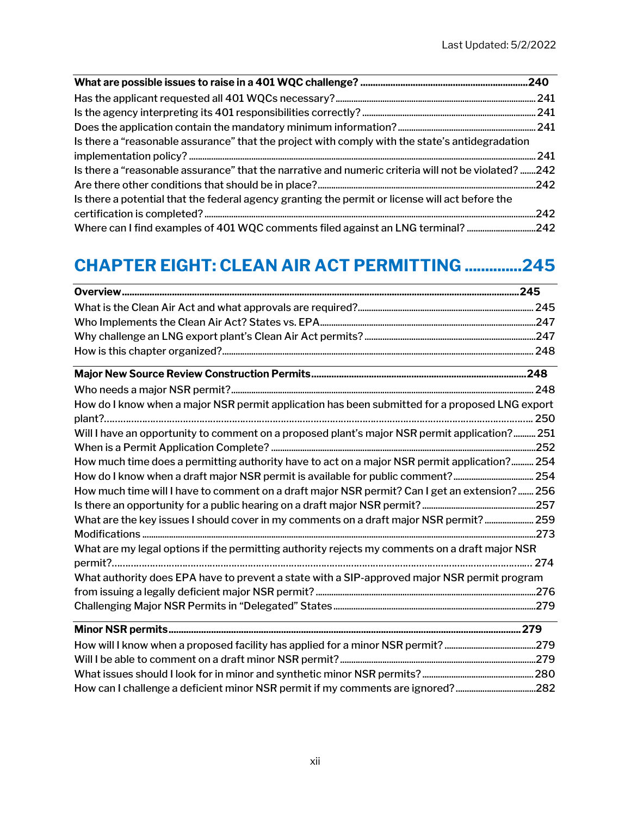| Is there a "reasonable assurance" that the project with comply with the state's antidegradation     |  |
|-----------------------------------------------------------------------------------------------------|--|
|                                                                                                     |  |
| Is there a "reasonable assurance" that the narrative and numeric criteria will not be violated? 242 |  |
|                                                                                                     |  |
| Is there a potential that the federal agency granting the permit or license will act before the     |  |
|                                                                                                     |  |
|                                                                                                     |  |

### CHAPTER EIGHT: CLEAN AIR ACT PERMITTING .............. 245

| <u> 1980 - Johann Stein, marwolaethau a bhann an t-Amhainn an t-Amhainn an t-Amhainn an t-Amhainn an t-Amhainn a</u>   |  |
|------------------------------------------------------------------------------------------------------------------------|--|
|                                                                                                                        |  |
|                                                                                                                        |  |
| How do I know when a major NSR permit application has been submitted for a proposed LNG export                         |  |
|                                                                                                                        |  |
| Will I have an opportunity to comment on a proposed plant's major NSR permit application? 251                          |  |
|                                                                                                                        |  |
| How much time does a permitting authority have to act on a major NSR permit application? 254                           |  |
| How do I know when a draft major NSR permit is available for public comment? 254                                       |  |
| How much time will I have to comment on a draft major NSR permit? Can I get an extension? 256                          |  |
|                                                                                                                        |  |
| What are the key issues I should cover in my comments on a draft major NSR permit? 259                                 |  |
|                                                                                                                        |  |
| What are my legal options if the permitting authority rejects my comments on a draft major NSR                         |  |
|                                                                                                                        |  |
| What authority does EPA have to prevent a state with a SIP-approved major NSR permit program                           |  |
|                                                                                                                        |  |
| <u> 1989 - Johann Stoff, deutscher Stoffen und der Stoffen und der Stoffen und der Stoffen und der Stoffen und der</u> |  |
|                                                                                                                        |  |
|                                                                                                                        |  |
|                                                                                                                        |  |
|                                                                                                                        |  |
|                                                                                                                        |  |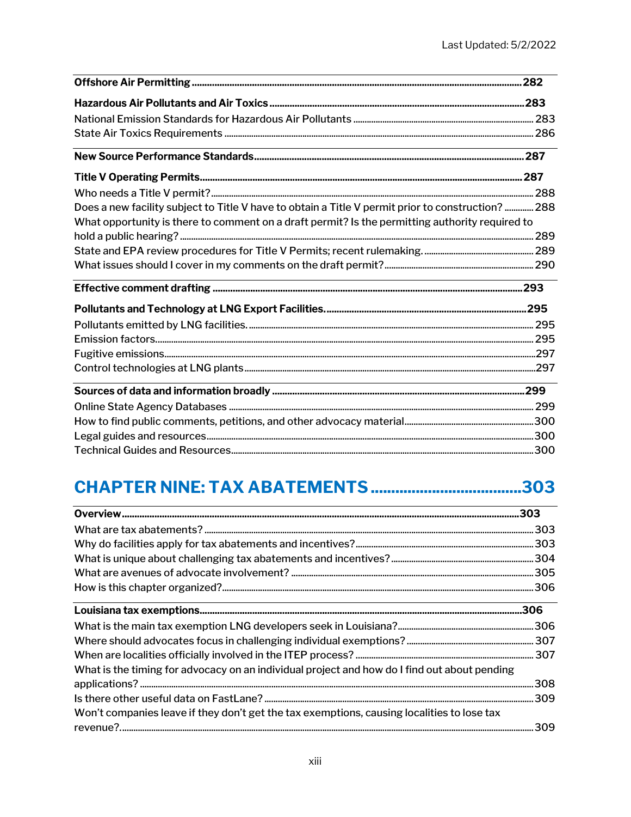| Does a new facility subject to Title V have to obtain a Title V permit prior to construction?  288<br>What opportunity is there to comment on a draft permit? Is the permitting authority required to<br><u> 1989 - Johann John Stein, mars et al. (b. 1989)</u> |  |
|------------------------------------------------------------------------------------------------------------------------------------------------------------------------------------------------------------------------------------------------------------------|--|
|                                                                                                                                                                                                                                                                  |  |
|                                                                                                                                                                                                                                                                  |  |
|                                                                                                                                                                                                                                                                  |  |
|                                                                                                                                                                                                                                                                  |  |
|                                                                                                                                                                                                                                                                  |  |
|                                                                                                                                                                                                                                                                  |  |
|                                                                                                                                                                                                                                                                  |  |
|                                                                                                                                                                                                                                                                  |  |
|                                                                                                                                                                                                                                                                  |  |
|                                                                                                                                                                                                                                                                  |  |
|                                                                                                                                                                                                                                                                  |  |
|                                                                                                                                                                                                                                                                  |  |
|                                                                                                                                                                                                                                                                  |  |
|                                                                                                                                                                                                                                                                  |  |
|                                                                                                                                                                                                                                                                  |  |
|                                                                                                                                                                                                                                                                  |  |
|                                                                                                                                                                                                                                                                  |  |
|                                                                                                                                                                                                                                                                  |  |
|                                                                                                                                                                                                                                                                  |  |
|                                                                                                                                                                                                                                                                  |  |
|                                                                                                                                                                                                                                                                  |  |
|                                                                                                                                                                                                                                                                  |  |
|                                                                                                                                                                                                                                                                  |  |

## **CHAPTER NINE: TAX ABATEMENTS ...................................303**

|                                                                                              | .306 |
|----------------------------------------------------------------------------------------------|------|
|                                                                                              |      |
|                                                                                              |      |
|                                                                                              |      |
| What is the timing for advocacy on an individual project and how do I find out about pending |      |
|                                                                                              |      |
|                                                                                              |      |
| Won't companies leave if they don't get the tax exemptions, causing localities to lose tax   |      |
|                                                                                              |      |